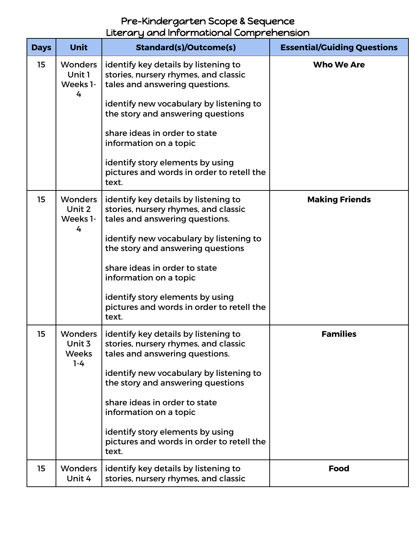## Pre-Kindergarten Scope & Sequence Literary and Informational Comprehension

| <b>Days</b> | <b>Unit</b>                                         | <b>Standard(s)/Outcome(s)</b>                                                                                                                             | <b>Essential/Guiding Questions</b> |
|-------------|-----------------------------------------------------|-----------------------------------------------------------------------------------------------------------------------------------------------------------|------------------------------------|
| 15          | <b>Wonders</b><br>Unit 1<br>Weeks 1-<br>4           | identify key details by listening to<br>stories, nursery rhymes, and classic<br>tales and answering questions.<br>identify new vocabulary by listening to | <b>Who We Are</b>                  |
|             |                                                     | the story and answering questions<br>share ideas in order to state<br>information on a topic                                                              |                                    |
|             |                                                     | identify story elements by using<br>pictures and words in order to retell the<br>text.                                                                    |                                    |
| 15          | <b>Wonders</b><br>Unit 2<br>Weeks 1-<br>4           | identify key details by listening to<br>stories, nursery rhymes, and classic<br>tales and answering questions.                                            | <b>Making Friends</b>              |
|             |                                                     | identify new vocabulary by listening to<br>the story and answering questions<br>share ideas in order to state                                             |                                    |
|             |                                                     | information on a topic                                                                                                                                    |                                    |
|             |                                                     | identify story elements by using<br>pictures and words in order to retell the<br>text.                                                                    |                                    |
| 15          | <b>Wonders</b><br>Unit 3<br><b>Weeks</b><br>$1 - 4$ | identify key details by listening to<br>stories, nursery rhymes, and classic<br>tales and answering questions.                                            | <b>Families</b>                    |
|             |                                                     | identify new vocabulary by listening to<br>the story and answering questions                                                                              |                                    |
|             |                                                     | share ideas in order to state<br>information on a topic                                                                                                   |                                    |
|             |                                                     | identify story elements by using<br>pictures and words in order to retell the<br>text.                                                                    |                                    |
| 15          | <b>Wonders</b><br>Unit 4                            | identify key details by listening to<br>stories, nursery rhymes, and classic                                                                              | <b>Food</b>                        |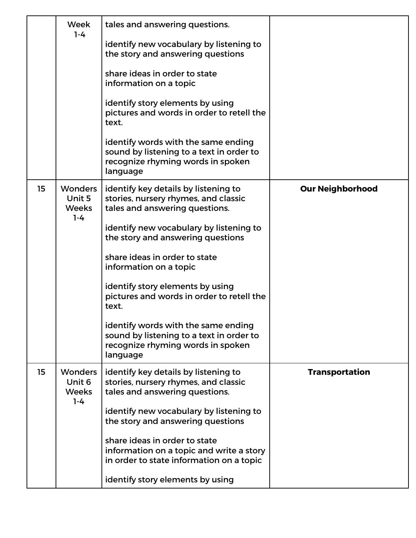|    | Week<br>$1 - 4$                                     | tales and answering questions.<br>identify new vocabulary by listening to<br>the story and answering questions<br>share ideas in order to state<br>information on a topic<br>identify story elements by using<br>pictures and words in order to retell the<br>text.<br>identify words with the same ending                                                                                                                                                                              |                         |
|----|-----------------------------------------------------|-----------------------------------------------------------------------------------------------------------------------------------------------------------------------------------------------------------------------------------------------------------------------------------------------------------------------------------------------------------------------------------------------------------------------------------------------------------------------------------------|-------------------------|
|    |                                                     | sound by listening to a text in order to<br>recognize rhyming words in spoken<br>language                                                                                                                                                                                                                                                                                                                                                                                               |                         |
| 15 | <b>Wonders</b><br>Unit 5<br><b>Weeks</b><br>$1 - 4$ | identify key details by listening to<br>stories, nursery rhymes, and classic<br>tales and answering questions.<br>identify new vocabulary by listening to<br>the story and answering questions<br>share ideas in order to state<br>information on a topic<br>identify story elements by using<br>pictures and words in order to retell the<br>text.<br>identify words with the same ending<br>sound by listening to a text in order to<br>recognize rhyming words in spoken<br>language | <b>Our Neighborhood</b> |
| 15 | <b>Wonders</b><br>Unit 6<br><b>Weeks</b><br>$1 - 4$ | identify key details by listening to<br>stories, nursery rhymes, and classic<br>tales and answering questions.<br>identify new vocabulary by listening to<br>the story and answering questions<br>share ideas in order to state<br>information on a topic and write a story<br>in order to state information on a topic<br>identify story elements by using                                                                                                                             | <b>Transportation</b>   |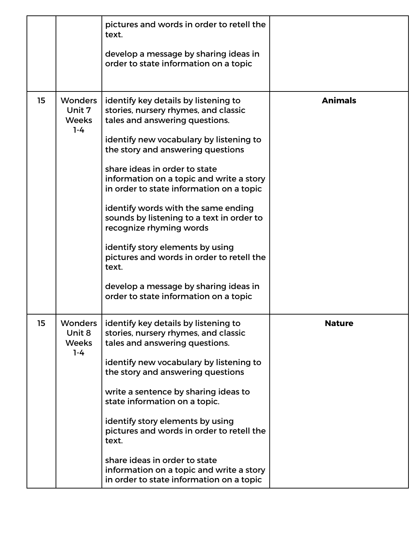|    |                                                     | pictures and words in order to retell the<br>text.                                                                    |                |
|----|-----------------------------------------------------|-----------------------------------------------------------------------------------------------------------------------|----------------|
|    |                                                     | develop a message by sharing ideas in<br>order to state information on a topic                                        |                |
| 15 | <b>Wonders</b><br>Unit 7<br><b>Weeks</b><br>$1 - 4$ | identify key details by listening to<br>stories, nursery rhymes, and classic<br>tales and answering questions.        | <b>Animals</b> |
|    |                                                     | identify new vocabulary by listening to<br>the story and answering questions                                          |                |
|    |                                                     | share ideas in order to state<br>information on a topic and write a story<br>in order to state information on a topic |                |
|    |                                                     | identify words with the same ending<br>sounds by listening to a text in order to<br>recognize rhyming words           |                |
|    |                                                     | identify story elements by using<br>pictures and words in order to retell the<br>text.                                |                |
|    |                                                     | develop a message by sharing ideas in<br>order to state information on a topic                                        |                |
| 15 | <b>Wonders</b><br>Unit 8<br><b>Weeks</b><br>$1 - 4$ | identify key details by listening to<br>stories, nursery rhymes, and classic<br>tales and answering questions.        | <b>Nature</b>  |
|    |                                                     | identify new vocabulary by listening to<br>the story and answering questions                                          |                |
|    |                                                     | write a sentence by sharing ideas to<br>state information on a topic.                                                 |                |
|    |                                                     | identify story elements by using<br>pictures and words in order to retell the<br>text.                                |                |
|    |                                                     | share ideas in order to state<br>information on a topic and write a story<br>in order to state information on a topic |                |